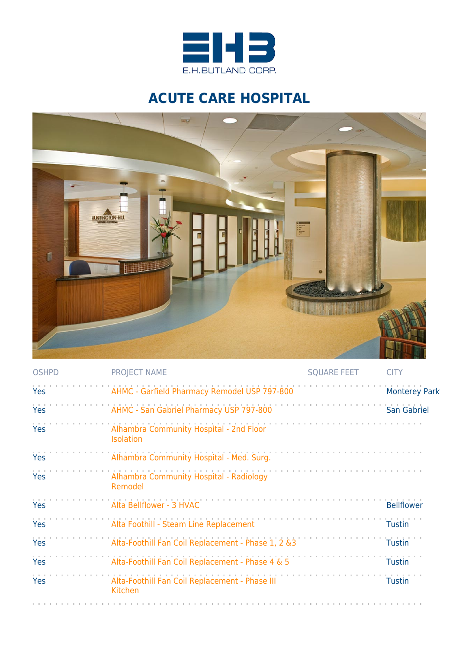

## **ACUTE CARE HOSPITAL**



| <b>OSHPD</b> | <b>PROJECT NAME</b>                                         | <b>SQUARE FEET</b> | <b>CITY</b>          |
|--------------|-------------------------------------------------------------|--------------------|----------------------|
| Yes          | AHMC - Garfield Pharmacy Remodel USP 797-800                |                    | <b>Monterey Park</b> |
| Yes          | AHMC - San Gabriel Pharmacy USP 797-800                     |                    | <b>San Gabriel</b>   |
| Yes          | Alhambra Community Hospital - 2nd Floor<br><b>Isolation</b> |                    |                      |
| Yes          | Alhambra Community Hospital - Med. Surg.                    |                    |                      |
| Yes          | Alhambra Community Hospital - Radiology<br>Remodel          |                    |                      |
| Yes          | Alta Bellflower - 3 HVAC                                    |                    | <b>Bellflower</b>    |
| Yes          | Alta Foothill - Steam Line Replacement                      |                    | <b>Tustin</b>        |
| Yes          | Alta-Foothill Fan Coil Replacement - Phase 1, 2 &3          |                    | <b>Tustin</b>        |
| Yes          | Alta-Foothill Fan Coil Replacement - Phase 4 & 5            |                    | <b>Tustin</b>        |
| Yes          | Alta-Foothill Fan Coil Replacement - Phase III<br>Kitchen   |                    | <b>Tustin</b>        |
|              |                                                             |                    |                      |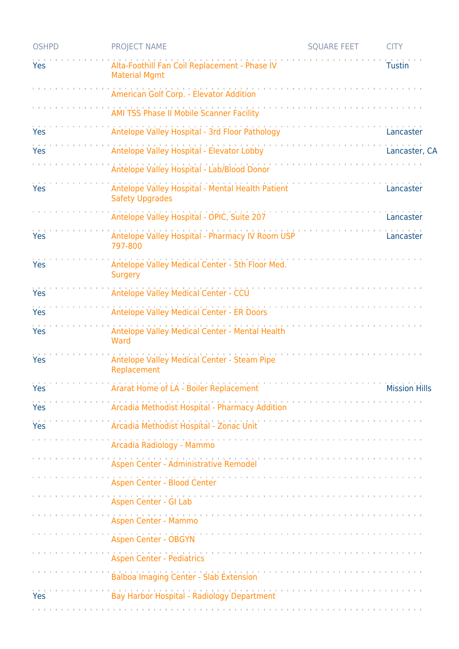| <b>OSHPD</b> | <b>PROJECT NAME</b>                                                        | <b>SQUARE FEET</b>                                                                                                 | <b>CITY</b>          |
|--------------|----------------------------------------------------------------------------|--------------------------------------------------------------------------------------------------------------------|----------------------|
| Yes          | Alta-Foothill Fan Coil Replacement - Phase IV<br><b>Material Mgmt</b>      |                                                                                                                    | <b>Tustin</b>        |
|              | American Golf Corp. - Elevator Addition                                    |                                                                                                                    |                      |
|              | AMI TSS Phase II Mobile Scanner Facility                                   |                                                                                                                    |                      |
| Yes          | Antelope Valley Hospital - 3rd Floor Pathology                             |                                                                                                                    | Lancaster            |
| Yes          | Antelope Valley Hospital - Elevator Lobby                                  |                                                                                                                    | Lancaster, CA        |
|              | Antelope Valley Hospital - Lab/Blood Donor                                 |                                                                                                                    |                      |
| Yes          | Antelope Valley Hospital - Mental Health Patient<br><b>Safety Upgrades</b> |                                                                                                                    | Lancaster            |
|              | Antelope Valley Hospital - OPIC, Suite 207                                 |                                                                                                                    | Lancaster            |
| Yes          | Antelope Valley Hospital - Pharmacy IV Room USP<br>797-800                 |                                                                                                                    | Lancaster            |
| Yes          | Antelope Valley Medical Center - 5th Floor Med.<br><b>Surgery</b>          |                                                                                                                    |                      |
| Yes          | Antelope Valley Medical Center - CCU                                       |                                                                                                                    |                      |
| Yes          | Antelope Valley Medical Center - ER Doors                                  |                                                                                                                    |                      |
| Yes          | Antelope Valley Medical Center - Mental Health<br>Ward                     |                                                                                                                    |                      |
| Yes          | Antelope Valley Medical Center - Steam Pipe<br>Replacement                 |                                                                                                                    |                      |
| Yes          | Ararat Home of LA - Boiler Replacement                                     |                                                                                                                    | <b>Mission Hills</b> |
| Yes          | Arcadia Methodist Hospital - Pharmacy Addition                             |                                                                                                                    |                      |
| Yes          | Arcadia Methodist Hospital - Zonac Unit                                    |                                                                                                                    |                      |
|              | Arcadia Radiology - Mammo                                                  |                                                                                                                    |                      |
|              | Aspen Center - Administrative Remodel                                      |                                                                                                                    |                      |
|              | Aspen Center - Blood Center                                                |                                                                                                                    |                      |
|              | Aspen Center - GI Lab                                                      |                                                                                                                    |                      |
|              | Aspen Center - Mammo                                                       |                                                                                                                    |                      |
|              | <b>Aspen Center - OBGYN</b>                                                | a construction of the construction of the construction of the construction of the construction of the construction |                      |
|              | <b>Aspen Center - Pediatrics</b>                                           |                                                                                                                    |                      |
|              | Balboa Imaging Center - Slab Extension                                     |                                                                                                                    |                      |
| Yes          | Bay Harbor Hospital - Radiology Department                                 |                                                                                                                    |                      |
|              |                                                                            |                                                                                                                    |                      |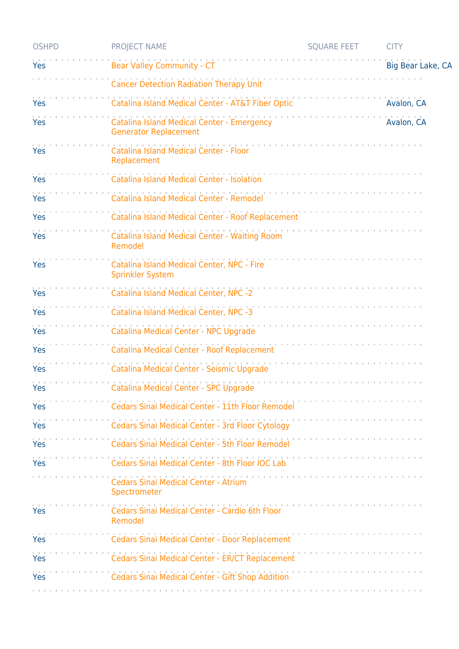| <b>OSHPD</b> | <b>PROJECT NAME</b>                                                        | <b>SQUARE FEET</b>                                                                                                                                                                                                             | <b>CITY</b>       |
|--------------|----------------------------------------------------------------------------|--------------------------------------------------------------------------------------------------------------------------------------------------------------------------------------------------------------------------------|-------------------|
| Yes          | <b>Bear Valley Community - CT</b>                                          |                                                                                                                                                                                                                                | Big Bear Lake, CA |
|              | <b>Cancer Detection Radiation Therapy Unit</b>                             |                                                                                                                                                                                                                                |                   |
| Yes          | Catalina Island Medical Center - AT&T Fiber Optic                          |                                                                                                                                                                                                                                | Avalon, CA        |
| Yes          | Catalina Island Medical Center - Emergency<br><b>Generator Replacement</b> |                                                                                                                                                                                                                                | Avalon, CA        |
| Yes          | Catalina Island Medical Center - Floor<br>Replacement                      |                                                                                                                                                                                                                                |                   |
| Yes          | Catalina Island Medical Center - Isolation                                 |                                                                                                                                                                                                                                |                   |
| Yes          | Catalina Island Medical Center - Remodel                                   |                                                                                                                                                                                                                                |                   |
| Yes          | Catalina Island Medical Center - Roof Replacement                          |                                                                                                                                                                                                                                |                   |
| Yes          | Catalina Island Medical Center - Waiting Room<br>Remodel                   | and the company of the company of the company of the company of the company of the company of the company of the company of the company of the company of the company of the company of the company of the company of the comp |                   |
| Yes          | Catalina Island Medical Center, NPC - Fire<br><b>Sprinkler System</b>      |                                                                                                                                                                                                                                |                   |
| Yes          | Catalina Island Medical Center, NPC -2                                     |                                                                                                                                                                                                                                |                   |
| Yes          | Catalina Island Medical Center, NPC -3                                     |                                                                                                                                                                                                                                |                   |
| Yes          | Catalina Medical Center - NPC Upgrade                                      |                                                                                                                                                                                                                                |                   |
| Yes          | Catalina Medical Center - Roof Replacement                                 |                                                                                                                                                                                                                                |                   |
| Yes          | Catalina Medical Center - Seismic Upgrade                                  |                                                                                                                                                                                                                                |                   |
| Yes          | Catalina Medical Center - SPC Upgrade                                      |                                                                                                                                                                                                                                |                   |
| Yes          | Cedars Sinai Medical Center - 11th Floor Remodel                           |                                                                                                                                                                                                                                |                   |
| Yes          | Cedars Sinai Medical Center - 3rd Floor Cytology                           |                                                                                                                                                                                                                                |                   |
| Yes          | Cedars Sinai Medical Center - 5th Floor Remodel                            |                                                                                                                                                                                                                                |                   |
| Yes          | Cedars Sinai Medical Center - 8th Floor IOC Lab                            |                                                                                                                                                                                                                                |                   |
|              | <b>Cedars Sinai Medical Center - Atrium</b><br>Spectrometer                |                                                                                                                                                                                                                                |                   |
| Yes          | Cedars Sinai Medical Center - Cardio 6th Floor<br>Remodel                  | a construction of the construction of the con-                                                                                                                                                                                 |                   |
| Yes          | Cedars Sinai Medical Center - Door Replacement                             |                                                                                                                                                                                                                                |                   |
| Yes          | Cedars Sinai Medical Center - ER/CT Replacement                            |                                                                                                                                                                                                                                |                   |
| Yes          | Cedars Sinai Medical Center - Gift Shop Addition                           |                                                                                                                                                                                                                                |                   |
|              |                                                                            |                                                                                                                                                                                                                                |                   |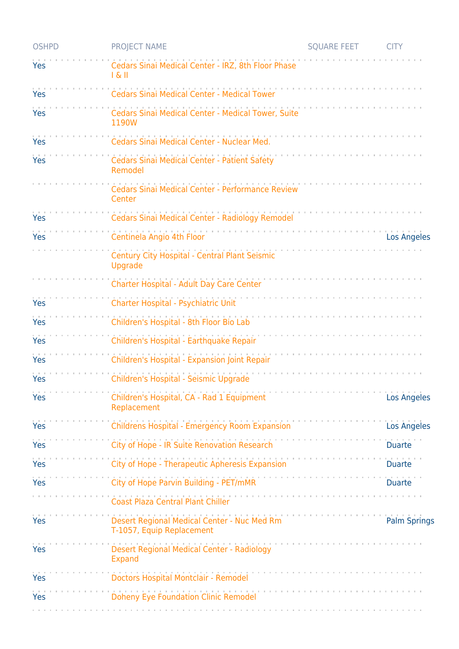| <b>OSHPD</b> | <b>PROJECT NAME</b>                                                      | <b>SQUARE FEET</b>                                                                                              | <b>CITY</b>         |
|--------------|--------------------------------------------------------------------------|-----------------------------------------------------------------------------------------------------------------|---------------------|
| Yes          | Cedars Sinai Medical Center - IRZ, 8th Floor Phase<br>$ \&$ $  $         |                                                                                                                 |                     |
| Yes          | <b>Cedars Sinai Medical Center - Medical Tower</b>                       |                                                                                                                 |                     |
| Yes          | Cedars Sinai Medical Center - Medical Tower, Suite<br>1190W              |                                                                                                                 |                     |
| Yes          | Cedars Sinai Medical Center - Nuclear Med.                               |                                                                                                                 |                     |
| Yes          | Cedars Sinai Medical Center - Patient Safety<br>Remodel                  |                                                                                                                 |                     |
|              | Cedars Sinai Medical Center - Performance Review<br>Center               |                                                                                                                 |                     |
| Yes          | Cedars Sinai Medical Center - Radiology Remodel                          |                                                                                                                 |                     |
| Yes          | Centinela Angio 4th Floor                                                |                                                                                                                 | <b>Los Angeles</b>  |
|              | Century City Hospital - Central Plant Seismic<br>Upgrade                 |                                                                                                                 |                     |
|              | Charter Hospital - Adult Day Care Center                                 |                                                                                                                 |                     |
| Yes          | Charter Hospital - Psychiatric Unit                                      |                                                                                                                 |                     |
| Yes          | Children's Hospital - 8th Floor Bio Lab                                  |                                                                                                                 |                     |
| Yes          | Children's Hospital - Earthquake Repair                                  |                                                                                                                 |                     |
| Yes          | Children's Hospital - Expansion Joint Repair                             |                                                                                                                 |                     |
| Yes          | Children's Hospital - Seismic Upgrade                                    |                                                                                                                 |                     |
| Yes          | Children's Hospital, CA - Rad 1 Equipment<br>Replacement                 |                                                                                                                 | Los Angeles         |
| Yes          | Childrens Hospital - Emergency Room Expansion                            |                                                                                                                 | Los Angeles         |
| Yes          | City of Hope - IR Suite Renovation Research                              | and the contract of the contract of the contract of the                                                         | <b>Duarte</b>       |
| Yes          | City of Hope - Therapeutic Apheresis Expansion                           |                                                                                                                 |                     |
| Yes          | City of Hope Parvin Building - PET/mMR                                   |                                                                                                                 |                     |
|              | <b>Coast Plaza Central Plant Chiller</b>                                 | the contract of the contract of the contract of the contract of the contract of the contract of the contract of |                     |
| Yes          | Desert Regional Medical Center - Nuc Med Rm<br>T-1057, Equip Replacement |                                                                                                                 | <b>Palm Springs</b> |
| Yes          | Desert Regional Medical Center - Radiology<br><b>Expand</b>              |                                                                                                                 |                     |
| Yes          | Doctors Hospital Montclair - Remodel                                     |                                                                                                                 |                     |
| Yes          | <b>Doheny Eye Foundation Clinic Remodel</b>                              |                                                                                                                 |                     |
|              |                                                                          |                                                                                                                 |                     |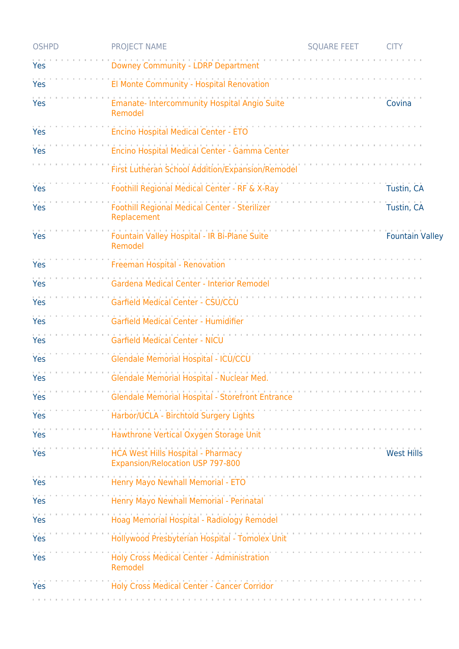| <b>OSHPD</b> | <b>PROJECT NAME</b>                                                           | <b>SQUARE FEET</b>                                       | <b>CITY</b>            |
|--------------|-------------------------------------------------------------------------------|----------------------------------------------------------|------------------------|
| Yes          | Downey Community - LDRP Department                                            |                                                          |                        |
| Yes          | El Monte Community - Hospital Renovation                                      |                                                          |                        |
| Yes          | Emanate- Intercommunity Hospital Angio Suite<br>Remodel                       |                                                          | Covina                 |
| Yes          | Encino Hospital Medical Center - ETO                                          |                                                          |                        |
| Yes          | Encino Hospital Medical Center - Gamma Center                                 |                                                          |                        |
|              | First Lutheran School Addition/Expansion/Remodel                              |                                                          |                        |
| Yes          | Foothill Regional Medical Center - RF & X-Ray                                 |                                                          | Tustin, CA             |
| Yes          | Foothill Regional Medical Center - Sterilizer<br>Replacement                  |                                                          | Tustin, CA             |
| Yes          | Fountain Valley Hospital - IR Bi-Plane Suite<br>Remodel                       |                                                          | <b>Fountain Valley</b> |
| Yes          | Freeman Hospital - Renovation                                                 |                                                          |                        |
| Yes          | Gardena Medical Center - Interior Remodel                                     |                                                          |                        |
| Yes          | Garfield Medical Center - CSU/CCU                                             |                                                          |                        |
| Yes          | Garfield Medical Center - Humidifier                                          |                                                          |                        |
| Yes          | <b>Garfield Medical Center - NICU</b>                                         |                                                          |                        |
| Yes          | Glendale Memorial Hospital - ICU/CCU                                          |                                                          |                        |
| Yes          | Glendale Memorial Hospital - Nuclear Med.                                     |                                                          |                        |
| Yes          | Glendale Memorial Hospital - Storefront Entrance                              |                                                          |                        |
| Yes          | Harbor/UCLA - Birchtold Surgery Lights                                        |                                                          |                        |
| Yes          | Hawthrone Vertical Oxygen Storage Unit                                        |                                                          |                        |
| Yes          | HCA West Hills Hospital - Pharmacy<br><b>Expansion/Relocation USP 797-800</b> |                                                          | <b>West Hills</b>      |
| Yes          | Henry Mayo Newhall Memorial - ETO                                             |                                                          |                        |
| Yes          | Henry Mayo Newhall Memorial - Perinatal                                       | and a series of the contract of the contract of the con- |                        |
| Yes          | Hoag Memorial Hospital - Radiology Remodel                                    | and the company of the company of the company of         |                        |
| Yes          | Hollywood Presbyterian Hospital - Tomolex Unit                                |                                                          |                        |
| Yes          | Holy Cross Medical Center - Administration<br>Remodel                         |                                                          |                        |
| Yes          | Holy Cross Medical Center - Cancer Corridor                                   |                                                          |                        |
|              |                                                                               |                                                          |                        |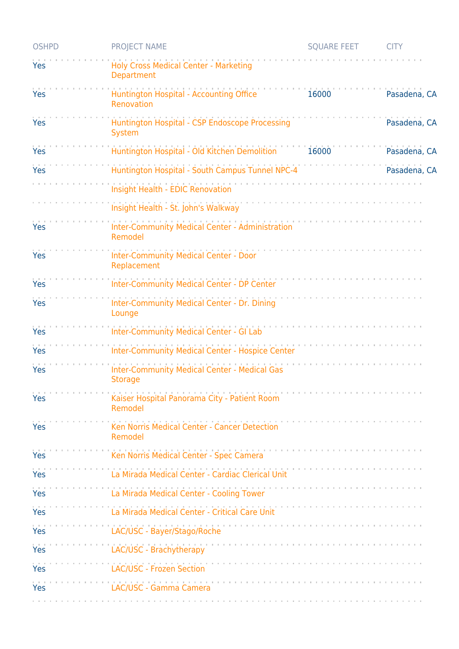| <b>OSHPD</b> | <b>PROJECT NAME</b>                                                                                                                                                                                                                                                             | <b>SQUARE FEET</b> | <b>CITY</b>  |
|--------------|---------------------------------------------------------------------------------------------------------------------------------------------------------------------------------------------------------------------------------------------------------------------------------|--------------------|--------------|
| Yes          | Holy Cross Medical Center - Marketing<br><b>Department</b>                                                                                                                                                                                                                      |                    |              |
| Yes          | Huntington Hospital - Accounting Office<br>Renovation                                                                                                                                                                                                                           | 16000              | Pasadena, CA |
| Yes          | Huntington Hospital - CSP Endoscope Processing<br><b>System</b>                                                                                                                                                                                                                 |                    | Pasadena, CA |
| Yes          | Huntington Hospital - Old Kitchen Demolition                                                                                                                                                                                                                                    | 16000              | Pasadena, CA |
| Yes          | Huntington Hospital - South Campus Tunnel NPC-4                                                                                                                                                                                                                                 |                    | Pasadena, CA |
|              | Insight Health - EDIC Renovation                                                                                                                                                                                                                                                |                    |              |
|              | Insight Health - St. John's Walkway                                                                                                                                                                                                                                             |                    |              |
| Yes          | Inter-Community Medical Center - Administration<br>Remodel                                                                                                                                                                                                                      |                    |              |
| Yes          | <b>Inter-Community Medical Center - Door</b><br>Replacement                                                                                                                                                                                                                     |                    |              |
| Yes          | Inter-Community Medical Center - DP Center                                                                                                                                                                                                                                      |                    |              |
| Yes          | Inter-Community Medical Center - Dr. Dining<br>Lounge                                                                                                                                                                                                                           |                    |              |
| Yes          | <b>Inter-Community Medical Center - GI Lab</b>                                                                                                                                                                                                                                  |                    |              |
| Yes          | <b>Inter-Community Medical Center - Hospice Center</b>                                                                                                                                                                                                                          |                    |              |
| Yes          | <b>Inter-Community Medical Center - Medical Gas</b><br><b>Storage</b>                                                                                                                                                                                                           |                    |              |
| Yes          | Kaiser Hospital Panorama City - Patient Room<br>Remodel                                                                                                                                                                                                                         |                    |              |
| Yes          | Ken Norris Medical Center - Cancer Detection<br>Remodel                                                                                                                                                                                                                         |                    |              |
| Yes          | <u> 1965 - Johann Barbar, mars ann an t-Amhraid ann an t-Aonaich an t-Aonaich an t-Aonaich an t-Aonaich ann an t-Aonaich an t-Aonaich ann an t-Aonaich ann an t-Aonaich ann an t-Aonaich an t-Aonaich ann an t-Aonaich ann an t-</u><br>Ken Norris Medical Center - Spec Camera |                    |              |
| Yes          | La Mirada Medical Center - Cardiac Clerical Unit                                                                                                                                                                                                                                |                    |              |
| Yes          | La Mirada Medical Center - Cooling Tower                                                                                                                                                                                                                                        |                    |              |
| Yes          | La Mirada Medical Center - Critical Care Unit                                                                                                                                                                                                                                   |                    |              |
| Yes          | LAC/USC - Bayer/Stago/Roche                                                                                                                                                                                                                                                     |                    |              |
| Yes          | LAC/USC - Brachytherapy                                                                                                                                                                                                                                                         |                    |              |
| Yes          | LAC/USC - Frozen Section                                                                                                                                                                                                                                                        |                    |              |
| Yes          | LAC/USC - Gamma Camera                                                                                                                                                                                                                                                          |                    |              |
|              |                                                                                                                                                                                                                                                                                 |                    |              |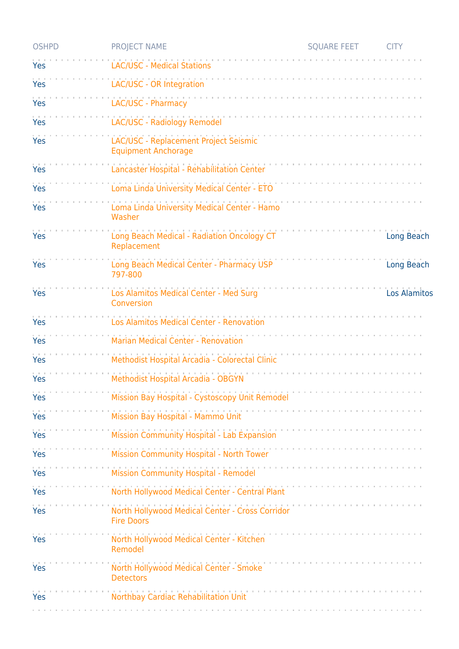| <b>OSHPD</b> | <b>PROJECT NAME</b>                                                  | <b>SQUARE FEET</b>                                                                                                                                                                                                             | <b>CITY</b>         |
|--------------|----------------------------------------------------------------------|--------------------------------------------------------------------------------------------------------------------------------------------------------------------------------------------------------------------------------|---------------------|
| Yes          | LAC/USC - Medical Stations                                           |                                                                                                                                                                                                                                |                     |
| Yes          | LAC/USC - OR Integration                                             |                                                                                                                                                                                                                                |                     |
| Yes          | LAC/USC - Pharmacy                                                   |                                                                                                                                                                                                                                |                     |
| Yes          | LAC/USC - Radiology Remodel                                          |                                                                                                                                                                                                                                |                     |
| Yes          | LAC/USC - Replacement Project Seismic<br><b>Equipment Anchorage</b>  |                                                                                                                                                                                                                                |                     |
| Yes          | Lancaster Hospital - Rehabilitation Center                           |                                                                                                                                                                                                                                |                     |
| Yes          | Loma Linda University Medical Center - ETO                           |                                                                                                                                                                                                                                |                     |
| Yes          | Loma Linda University Medical Center - Hamo<br>Washer                |                                                                                                                                                                                                                                |                     |
| Yes          | Long Beach Medical - Radiation Oncology CT<br>Replacement            |                                                                                                                                                                                                                                | Long Beach          |
| Yes          | Long Beach Medical Center - Pharmacy USP<br>797-800                  |                                                                                                                                                                                                                                | Long Beach          |
| Yes          | Los Alamitos Medical Center - Med Surg<br>Conversion                 |                                                                                                                                                                                                                                | <b>Los Alamitos</b> |
| Yes          | Los Alamitos Medical Center - Renovation                             |                                                                                                                                                                                                                                |                     |
| Yes          | <b>Marian Medical Center - Renovation</b>                            |                                                                                                                                                                                                                                |                     |
| Yes          | Methodist Hospital Arcadia - Colorectal Clinic                       |                                                                                                                                                                                                                                |                     |
| Yes          | Methodist Hospital Arcadia - OBGYN                                   |                                                                                                                                                                                                                                |                     |
| Yes          | Mission Bay Hospital - Cystoscopy Unit Remodel                       |                                                                                                                                                                                                                                |                     |
| Yes          | Mission Bay Hospital - Mammo Unit                                    |                                                                                                                                                                                                                                |                     |
| Yes          | Mission Community Hospital - Lab Expansion                           | the contract of the contract of the contract of the contract of the contract of the contract of the contract of the contract of the contract of the contract of the contract of the contract of the contract of the contract o |                     |
| Yes          | Mission Community Hospital - North Tower                             |                                                                                                                                                                                                                                |                     |
| Yes          | <b>Mission Community Hospital - Remodel</b>                          |                                                                                                                                                                                                                                |                     |
| Yes          | North Hollywood Medical Center - Central Plant                       | and the company of the company of the company of the company of the company of the company of the company of the company of the company of the company of the company of the company of the company of the company of the comp |                     |
| Yes          | North Hollywood Medical Center - Cross Corridor<br><b>Fire Doors</b> |                                                                                                                                                                                                                                |                     |
| Yes          | North Hollywood Medical Center - Kitchen<br>Remodel                  |                                                                                                                                                                                                                                |                     |
| Yes          | North Hollywood Medical Center - Smoke<br><b>Detectors</b>           | and a series and a series and a series and                                                                                                                                                                                     |                     |
| Yes          | Northbay Cardiac Rehabilitation Unit                                 |                                                                                                                                                                                                                                |                     |
|              |                                                                      |                                                                                                                                                                                                                                |                     |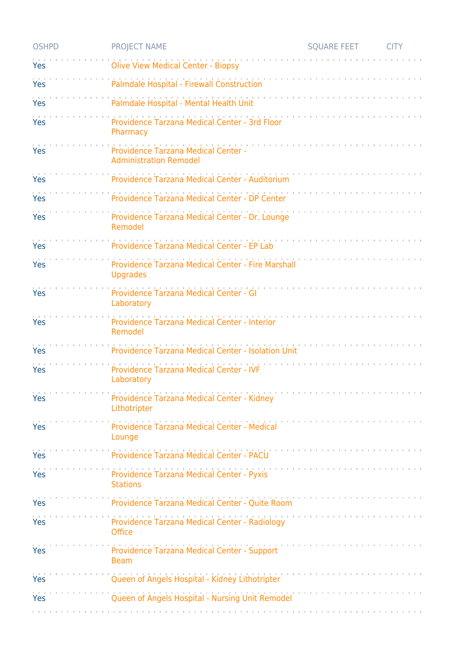| <b>OSHPD</b> | <b>PROJECT NAME</b>                                                        | <b>SOUARE FEET</b>             | <b>CITY</b> |
|--------------|----------------------------------------------------------------------------|--------------------------------|-------------|
| Yes          | <b>Olive View Medical Center - Biopsy</b>                                  |                                |             |
| Yes          | Palmdale Hospital - Firewall Construction                                  |                                |             |
| Yes          | Palmdale Hospital - Mental Health Unit                                     |                                |             |
| Yes          | Providence Tarzana Medical Center - 3rd Floor<br>Pharmacy                  |                                |             |
| Yes          | Providence Tarzana Medical Center -<br><b>Administration Remodel</b>       |                                |             |
| Yes          | Providence Tarzana Medical Center - Auditorium                             |                                |             |
| Yes          | Providence Tarzana Medical Center - DP Center                              |                                |             |
| Yes          | Providence Tarzana Medical Center - Dr. Lounge<br>Remodel                  |                                |             |
| Yes          | Providence Tarzana Medical Center - EP Lab                                 |                                |             |
| Yes          | Providence Tarzana Medical Center - Fire Marshall<br><b>Upgrades</b>       |                                |             |
| Yes          | Providence Tarzana Medical Center - GI<br>Laboratory                       |                                |             |
| Yes          | Providence Tarzana Medical Center - Interior<br>Remodel                    |                                |             |
| Yes          | Providence Tarzana Medical Center - Isolation Unit                         |                                |             |
| Yes          | Providence Tarzana Medical Center - IVF<br>Laboratory                      |                                |             |
| Yes          | Providence Tarzana Medical Center - Kidney<br>Lithotripter                 | and the company of the company |             |
| Yes          | Providence Tarzana Medical Center - Medical<br>Lounge                      | and the company of the         |             |
| Yes          | and the company of the company<br>Providence Tarzana Medical Center - PACU |                                |             |
| Yes          | Providence Tarzana Medical Center - Pyxis<br><b>Stations</b>               |                                |             |
| Yes          | Providence Tarzana Medical Center - Quite Room                             |                                |             |
| Yes          | Providence Tarzana Medical Center - Radiology<br>Office                    | <b>Contractor</b> Contractor   |             |
| Yes          | Providence Tarzana Medical Center - Support<br><b>Beam</b>                 | the company's company's and    |             |
| Yes          | Queen of Angels Hospital - Kidney Lithotripter                             |                                |             |
| Yes          | Queen of Angels Hospital - Nursing Unit Remodel                            |                                |             |
|              |                                                                            |                                |             |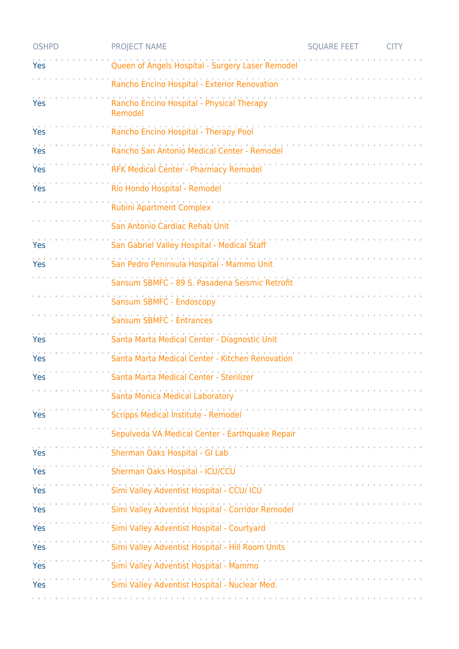| <b>OSHPD</b> | <b>PROJECT NAME</b>                                  | <b>SQUARE FEET</b> | <b>CITY</b> |
|--------------|------------------------------------------------------|--------------------|-------------|
| Yes          | Queen of Angels Hospital - Surgery Laser Remodel     |                    |             |
|              | Rancho Encino Hospital - Exterior Renovation         |                    |             |
| Yes          | Rancho Encino Hospital - Physical Therapy<br>Remodel |                    |             |
| Yes          | Rancho Encino Hospital - Therapy Pool                |                    |             |
| Yes          | Rancho San Antonio Medical Center - Remodel          |                    |             |
| Yes          | <b>RFK Medical Center - Pharmacy Remodel</b>         |                    |             |
| Yes          | Rio Hondo Hospital - Remodel                         |                    |             |
|              | <b>Rubini Apartment Complex</b>                      |                    |             |
|              | San Antonio Cardiac Rehab Unit                       |                    |             |
| Yes          | San Gabriel Valley Hospital - Medical Staff          |                    |             |
| Yes          | San Pedro Peninsula Hospital - Mammo Unit            |                    |             |
|              | Sansum SBMFC - 89 S. Pasadena Seismic Retrofit       |                    |             |
|              | Sansum SBMFC - Endoscopy                             |                    |             |
|              | Sansum SBMFC - Entrances                             |                    |             |
| Yes          | Santa Marta Medical Center - Diagnostic Unit         |                    |             |
| Yes          | Santa Marta Medical Center - Kitchen Renovation      |                    |             |
| Yes          | Santa Marta Medical Center - Sterilizer              |                    |             |
|              | Santa Monica Medical Laboratory                      |                    |             |
| Yes          | Scripps Medical Institute - Remodel                  |                    |             |
|              | Sepulveda VA Medical Center - Earthquake Repair      |                    |             |
| Yes          | Sherman Oaks Hospital - GI Lab                       |                    |             |
| Yes          | Sherman Oaks Hospital - ICU/CCU                      |                    |             |
| Yes          | Simi Valley Adventist Hospital - CCU/ ICU            |                    |             |
| Yes          | Simi Valley Adventist Hospital - Corridor Remodel    |                    |             |
| Yes          | Simi Valley Adventist Hospital - Courtyard           | .                  |             |
| Yes          | Simi Valley Adventist Hospital - Hill Room Units     |                    |             |
| Yes          | Simi Valley Adventist Hospital - Mammo               |                    |             |
| Yes          | Simi Valley Adventist Hospital - Nuclear Med.        |                    |             |
|              |                                                      |                    |             |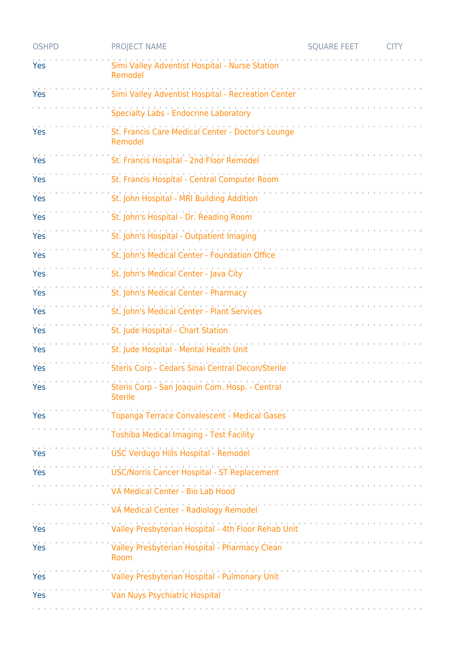| <b>OSHPD</b> | <b>PROJECT NAME</b>                                              | <b>SQUARE FEET</b> | <b>CITY</b> |
|--------------|------------------------------------------------------------------|--------------------|-------------|
| Yes          | Simi Valley Adventist Hospital - Nurse Station<br>Remodel        |                    |             |
| Yes          | Simi Valley Adventist Hospital - Recreation Center               |                    |             |
|              | <b>Specialty Labs - Endocrine Laboratory</b>                     |                    |             |
| Yes          | St. Francis Care Medical Center - Doctor's Lounge<br>Remodel     |                    |             |
| Yes          | St. Francis Hospital - 2nd Floor Remodel                         |                    |             |
| Yes          | St. Francis Hospital - Central Computer Room                     |                    |             |
| Yes          | St. John Hospital - MRI Building Addition                        |                    |             |
| Yes          | St. John's Hospital - Dr. Reading Room                           |                    |             |
| Yes          | St. John's Hospital - Outpatient Imaging                         |                    |             |
| Yes          | St. John's Medical Center - Foundation Office                    |                    |             |
| Yes          | St. John's Medical Center - Java City                            |                    |             |
| Yes          | St. John's Medical Center - Pharmacy                             |                    |             |
| Yes          | St. John's Medical Center - Plant Services                       |                    |             |
| Yes          | St. Jude Hospital - Chart Station                                |                    |             |
| Yes          | St. Jude Hospital - Mental Health Unit                           |                    |             |
| Yes          | Steris Corp - Cedars Sinai Central Decon/Sterile                 |                    |             |
| Yes          | Steris Corp - San Joaquin Com. Hosp. - Central<br><b>Sterile</b> |                    |             |
| Yes          | Topanga Terrace Convalescent - Medical Gases                     |                    |             |
|              | <b>Toshiba Medical Imaging - Test Facility</b>                   |                    |             |
| Yes          | USC Verdugo Hills Hospital - Remodel                             |                    |             |
| Yes          | USC/Norris Cancer Hospital - ST Replacement                      |                    |             |
|              | VA Medical Center - Bio Lab Hood                                 |                    |             |
|              | VA Medical Center - Radiology Remodel                            |                    |             |
| Yes          | Valley Presbyterian Hospital - 4th Floor Rehab Unit              |                    |             |
| Yes          | Valley Presbyterian Hospital - Pharmacy Clean<br>Room            | .                  |             |
| Yes          | Valley Presbyterian Hospital - Pulmonary Unit                    |                    |             |
| Yes          | Van Nuys Psychiatric Hospital                                    |                    |             |
|              |                                                                  |                    |             |